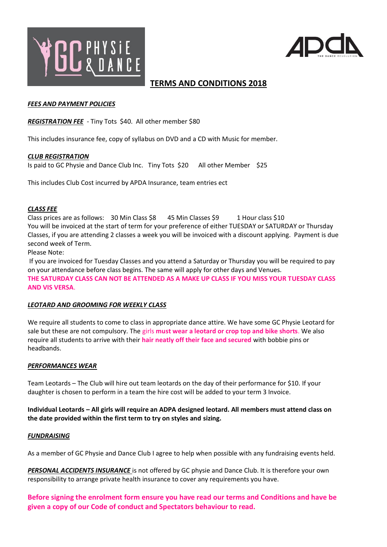



# **TERMS AND CONDITIONS 2018**

#### *FEES AND PAYMENT POLICIES*

*REGISTRATION FEE -* Tiny Tots \$40. All other member \$80

This includes insurance fee, copy of syllabus on DVD and a CD with Music for member.

## *CLUB REGISTRATION*

Is paid to GC Physie and Dance Club Inc. Tiny Tots \$20 All other Member \$25

This includes Club Cost incurred by APDA Insurance, team entries ect

#### *CLASS FEE*

Class prices are as follows:  $30$  Min Class \$8  $45$  Min Classes \$9  $1$  Hour class \$10 You will be invoiced at the start of term for your preference of either TUESDAY or SATURDAY or Thursday Classes, if you are attending 2 classes a week you will be invoiced with a discount applying. Payment is due second week of Term.

Please Note:

If you are invoiced for Tuesday Classes and you attend a Saturday or Thursday you will be required to pay on your attendance before class begins. The same will apply for other days and Venues. **THE SATURDAY CLASS CAN NOT BE ATTENDED AS A MAKE UP CLASS IF YOU MISS YOUR TUESDAY CLASS AND VIS VERSA**.

## *LEOTARD AND GROOMING FOR WEEKLY CLASS*

We require all students to come to class in appropriate dance attire. We have some GC Physie Leotard for sale but these are not compulsory. The girls **must wear a leotard or crop top and bike shorts**. We also require all students to arrive with their **hair neatly off their face and secured** with bobbie pins or headbands.

## *PERFORMANCES WEAR*

Team Leotards – The Club will hire out team leotards on the day of their performance for \$10. If your daughter is chosen to perform in a team the hire cost will be added to your term 3 Invoice.

**Individual Leotards – All girls will require an ADPA designed leotard. All members must attend class on the date provided within the first term to try on styles and sizing.**

## *FUNDRAISING*

As a member of GC Physie and Dance Club I agree to help when possible with any fundraising events held.

*PERSONAL ACCIDENTS INSURANCE* is not offered by GC physie and Dance Club. It is therefore your own responsibility to arrange private health insurance to cover any requirements you have.

**Before signing the enrolment form ensure you have read our terms and Conditions and have be given a copy of our Code of conduct and Spectators behaviour to read.**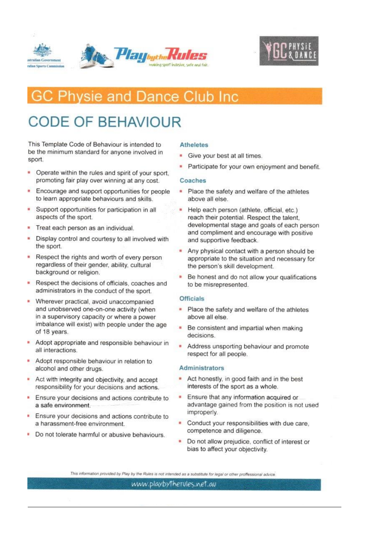



# **GC Physie and Dance Club Inc**

# **CODE OF BEHAVIOUR**

This Template Code of Behaviour is intended to be the minimum standard for anyone involved in sport.

- Operate within the rules and spirit of your sport, promoting fair play over winning at any cost.
- Encourage and support opportunities for people × to learn appropriate behaviours and skills.
- Support opportunities for participation in all m aspects of the sport.
- Treat each person as an individual.
- Display control and courtesy to all involved with ٠ the sport.
- Respect the rights and worth of every person regardless of their gender, ability, cultural background or religion.
- Respect the decisions of officials, coaches and administrators in the conduct of the sport.
- × Wherever practical, avoid unaccompanied and unobserved one-on-one activity (when in a supervisory capacity or where a power imbalance will exist) with people under the age of 18 years.
- Adopt appropriate and responsible behaviour in all interactions.
- Adopt responsible behaviour in relation to alcohol and other drugs.
- Act with integrity and objectivity, and accept responsibility for your decisions and actions.
- Ensure your decisions and actions contribute to ٠ a safe environment.
- Ensure your decisions and actions contribute to a harassment-free environment.
- Do not tolerate harmful or abusive behaviours. m.

#### **Atheletes**

- Give your best at all times.
- Participate for your own enjoyment and benefit.

#### Coaches

- Place the safety and welfare of the athletes above all else.
- Help each person (athlete, official, etc.) reach their potential. Respect the talent. developmental stage and goals of each person and compliment and encourage with positive and supportive feedback.
- Any physical contact with a person should be appropriate to the situation and necessary for the person's skill development.
- Be honest and do not allow your qualifications to be misrepresented.

#### **Officials**

- Place the safety and welfare of the athletes above all else.
- Be consistent and impartial when making decisions.
- Address unsporting behaviour and promote respect for all people.

#### **Administrators**

- Act honestly, in good faith and in the best interests of the sport as a whole.
- Ensure that any information acquired or advantage gained from the position is not used improperly.
- Conduct your responsibilities with due care. competence and diligence.
- Do not allow prejudice, conflict of interest or bias to affect your objectivity.

This information provided by Play by the Rules is not intended as a substitute for legal or other proffessional advice.

www.playbytherules.net.au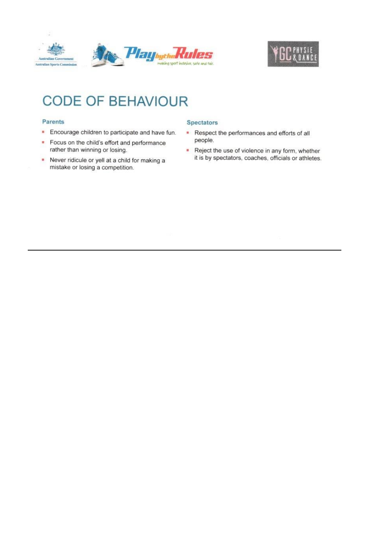



# **CODE OF BEHAVIOUR**

#### Parents

- Encourage children to participate and have fun.
- $\mathbf{u}$ Focus on the child's effort and performance rather than winning or losing.
- Never ridicule or yell at a child for making a  $\mathbf{H}_\mathrm{c}$ mistake or losing a competition.

#### **Spectators**

- Respect the performances and efforts of all people.
- Reject the use of violence in any form, whether it is by spectators, coaches, officials or athletes.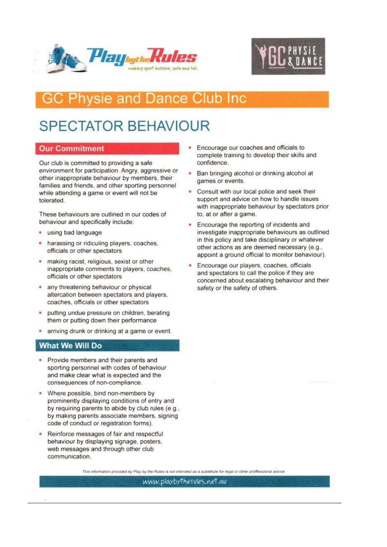



# **Physie and Dance Club Inc**

# **SPECTATOR BEHAVIOUR**

# **Our Commitment**

Our club is committed to providing a safe environment for participation. Angry, aggressive or other inappropriate behaviour by members, their families and friends, and other sporting personnel while attending a game or event will not be tolerated.

These behaviours are outlined in our codes of behaviour and specifically include:

- using bad language ٠
- harassing or ridiculing players, coaches, officials or other spectators
- making racist, religious, sexist or other inappropriate comments to players, coaches, officials or other spectators
- any threatening behaviour or physical altercation between spectators and players. coaches, officials or other spectators
- putting undue pressure on children, berating them or putting down their performance
- arriving drunk or drinking at a game or event.

## **What We Will Do**

- Provide members and their parents and sporting personnel with codes of behaviour and make clear what is expected and the consequences of non-compliance.
- Where possible, bind non-members by prominently displaying conditions of entry and by requiring parents to abide by club rules (e.g., by making parents associate members, signing code of conduct or registration forms).
- Reinforce messages of fair and respectful behaviour by displaying signage, posters, web messages and through other club communication.
- Encourage our coaches and officials to complete training to develop their skills and confidence.
- Ban bringing alcohol or drinking alcohol at games or events.
- Consult with our local police and seek their support and advice on how to handle issues with inappropriate behaviour by spectators prior to, at or after a game.
- Encourage the reporting of incidents and investigate inappropriate behaviours as outlined in this policy and take disciplinary or whatever other actions as are deemed necessary (e.g., appoint a ground official to monitor behaviour).
- Encourage our players, coaches, officials and spectators to call the police if they are concerned about escalating behaviour and their safety or the safety of others.

This information provided by Play by the Rules is not intended as a substitute for legal or other proffessional advice

uww.playbytherules.net.au